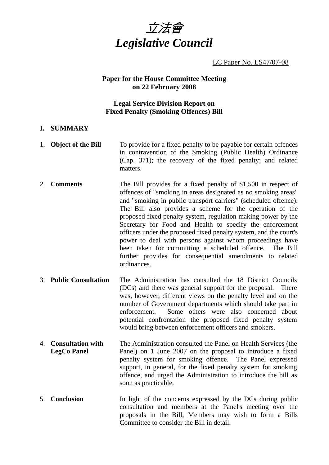

LC Paper No. LS47/07-08

#### **Paper for the House Committee Meeting on 22 February 2008**

### **Legal Service Division Report on Fixed Penalty (Smoking Offences) Bill**

#### **I. SUMMARY**

- 1. **Object of the Bill** To provide for a fixed penalty to be payable for certain offences in contravention of the Smoking (Public Health) Ordinance (Cap. 371); the recovery of the fixed penalty; and related matters.
- 2. **Comments** The Bill provides for a fixed penalty of \$1,500 in respect of offences of "smoking in areas designated as no smoking areas" and "smoking in public transport carriers" (scheduled offence). The Bill also provides a scheme for the operation of the proposed fixed penalty system, regulation making power by the Secretary for Food and Health to specify the enforcement officers under the proposed fixed penalty system, and the court's power to deal with persons against whom proceedings have been taken for committing a scheduled offence. The Bill further provides for consequential amendments to related ordinances.
- 3. **Public Consultation** The Administration has consulted the 18 District Councils (DCs) and there was general support for the proposal. There was, however, different views on the penalty level and on the number of Government departments which should take part in enforcement. Some others were also concerned about potential confrontation the proposed fixed penalty system would bring between enforcement officers and smokers.
- 4. **Consultation with LegCo Panel**  The Administration consulted the Panel on Health Services (the Panel) on 1 June 2007 on the proposal to introduce a fixed penalty system for smoking offence. The Panel expressed support, in general, for the fixed penalty system for smoking offence, and urged the Administration to introduce the bill as soon as practicable.
- 5. **Conclusion** In light of the concerns expressed by the DCs during public consultation and members at the Panel's meeting over the proposals in the Bill, Members may wish to form a Bills Committee to consider the Bill in detail.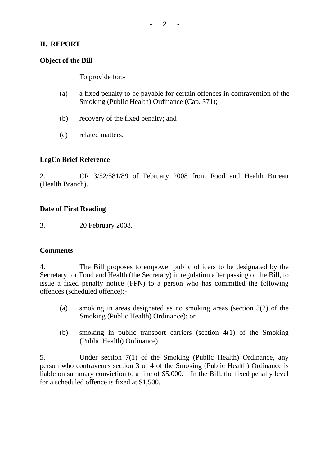# **II. REPORT**

### **Object of the Bill**

To provide for:-

- (a) a fixed penalty to be payable for certain offences in contravention of the Smoking (Public Health) Ordinance (Cap. 371);
- (b) recovery of the fixed penalty; and
- (c) related matters.

# **LegCo Brief Reference**

2. CR 3/52/581/89 of February 2008 from Food and Health Bureau (Health Branch).

### **Date of First Reading**

3. 20 February 2008.

#### **Comments**

4. The Bill proposes to empower public officers to be designated by the Secretary for Food and Health (the Secretary) in regulation after passing of the Bill, to issue a fixed penalty notice (FPN) to a person who has committed the following offences (scheduled offence):-

- (a) smoking in areas designated as no smoking areas (section 3(2) of the Smoking (Public Health) Ordinance); or
- (b) smoking in public transport carriers (section 4(1) of the Smoking (Public Health) Ordinance).

5. Under section 7(1) of the Smoking (Public Health) Ordinance, any person who contravenes section 3 or 4 of the Smoking (Public Health) Ordinance is liable on summary conviction to a fine of \$5,000. In the Bill, the fixed penalty level for a scheduled offence is fixed at \$1,500.

 $2 - 2$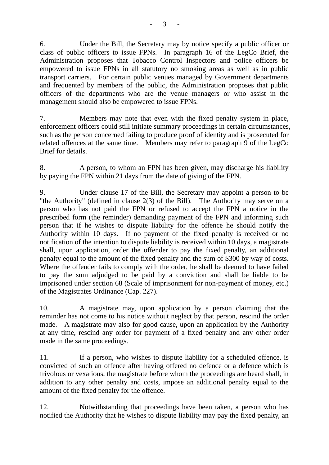6. Under the Bill, the Secretary may by notice specify a public officer or class of public officers to issue FPNs. In paragraph 16 of the LegCo Brief, the Administration proposes that Tobacco Control Inspectors and police officers be empowered to issue FPNs in all statutory no smoking areas as well as in public transport carriers. For certain public venues managed by Government departments and frequented by members of the public, the Administration proposes that public officers of the departments who are the venue managers or who assist in the management should also be empowered to issue FPNs.

7. Members may note that even with the fixed penalty system in place, enforcement officers could still initiate summary proceedings in certain circumstances, such as the person concerned failing to produce proof of identity and is prosecuted for related offences at the same time. Members may refer to paragraph 9 of the LegCo Brief for details.

8. A person, to whom an FPN has been given, may discharge his liability by paying the FPN within 21 days from the date of giving of the FPN.

9. Under clause 17 of the Bill, the Secretary may appoint a person to be "the Authority" (defined in clause 2(3) of the Bill). The Authority may serve on a person who has not paid the FPN or refused to accept the FPN a notice in the prescribed form (the reminder) demanding payment of the FPN and informing such person that if he wishes to dispute liability for the offence he should notify the Authority within 10 days. If no payment of the fixed penalty is received or no notification of the intention to dispute liability is received within 10 days, a magistrate shall, upon application, order the offender to pay the fixed penalty, an additional penalty equal to the amount of the fixed penalty and the sum of \$300 by way of costs. Where the offender fails to comply with the order, he shall be deemed to have failed to pay the sum adjudged to be paid by a conviction and shall be liable to be imprisoned under section 68 (Scale of imprisonment for non-payment of money, etc.) of the Magistrates Ordinance (Cap. 227).

10. A magistrate may, upon application by a person claiming that the reminder has not come to his notice without neglect by that person, rescind the order made. A magistrate may also for good cause, upon an application by the Authority at any time, rescind any order for payment of a fixed penalty and any other order made in the same proceedings.

11. If a person, who wishes to dispute liability for a scheduled offence, is convicted of such an offence after having offered no defence or a defence which is frivolous or vexatious, the magistrate before whom the proceedings are heard shall, in addition to any other penalty and costs, impose an additional penalty equal to the amount of the fixed penalty for the offence.

12. Notwithstanding that proceedings have been taken, a person who has notified the Authority that he wishes to dispute liability may pay the fixed penalty, an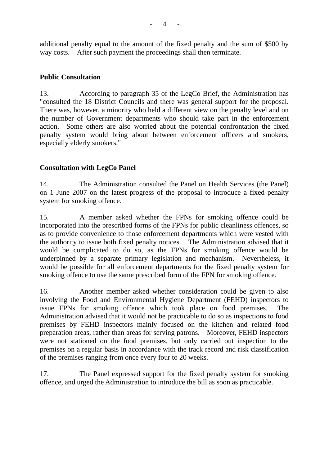additional penalty equal to the amount of the fixed penalty and the sum of \$500 by way costs. After such payment the proceedings shall then terminate.

# **Public Consultation**

13. According to paragraph 35 of the LegCo Brief, the Administration has "consulted the 18 District Councils and there was general support for the proposal. There was, however, a minority who held a different view on the penalty level and on the number of Government departments who should take part in the enforcement action. Some others are also worried about the potential confrontation the fixed penalty system would bring about between enforcement officers and smokers, especially elderly smokers."

# **Consultation with LegCo Panel**

14. The Administration consulted the Panel on Health Services (the Panel) on 1 June 2007 on the latest progress of the proposal to introduce a fixed penalty system for smoking offence.

15. A member asked whether the FPNs for smoking offence could be incorporated into the prescribed forms of the FPNs for public cleanliness offences, so as to provide convenience to those enforcement departments which were vested with the authority to issue both fixed penalty notices. The Administration advised that it would be complicated to do so, as the FPNs for smoking offence would be underpinned by a separate primary legislation and mechanism. Nevertheless, it would be possible for all enforcement departments for the fixed penalty system for smoking offence to use the same prescribed form of the FPN for smoking offence.

16. Another member asked whether consideration could be given to also involving the Food and Environmental Hygiene Department (FEHD) inspectors to issue FPNs for smoking offence which took place on food premises. The Administration advised that it would not be practicable to do so as inspections to food premises by FEHD inspectors mainly focused on the kitchen and related food preparation areas, rather than areas for serving patrons. Moreover, FEHD inspectors were not stationed on the food premises, but only carried out inspection to the premises on a regular basis in accordance with the track record and risk classification of the premises ranging from once every four to 20 weeks.

17. The Panel expressed support for the fixed penalty system for smoking offence, and urged the Administration to introduce the bill as soon as practicable.